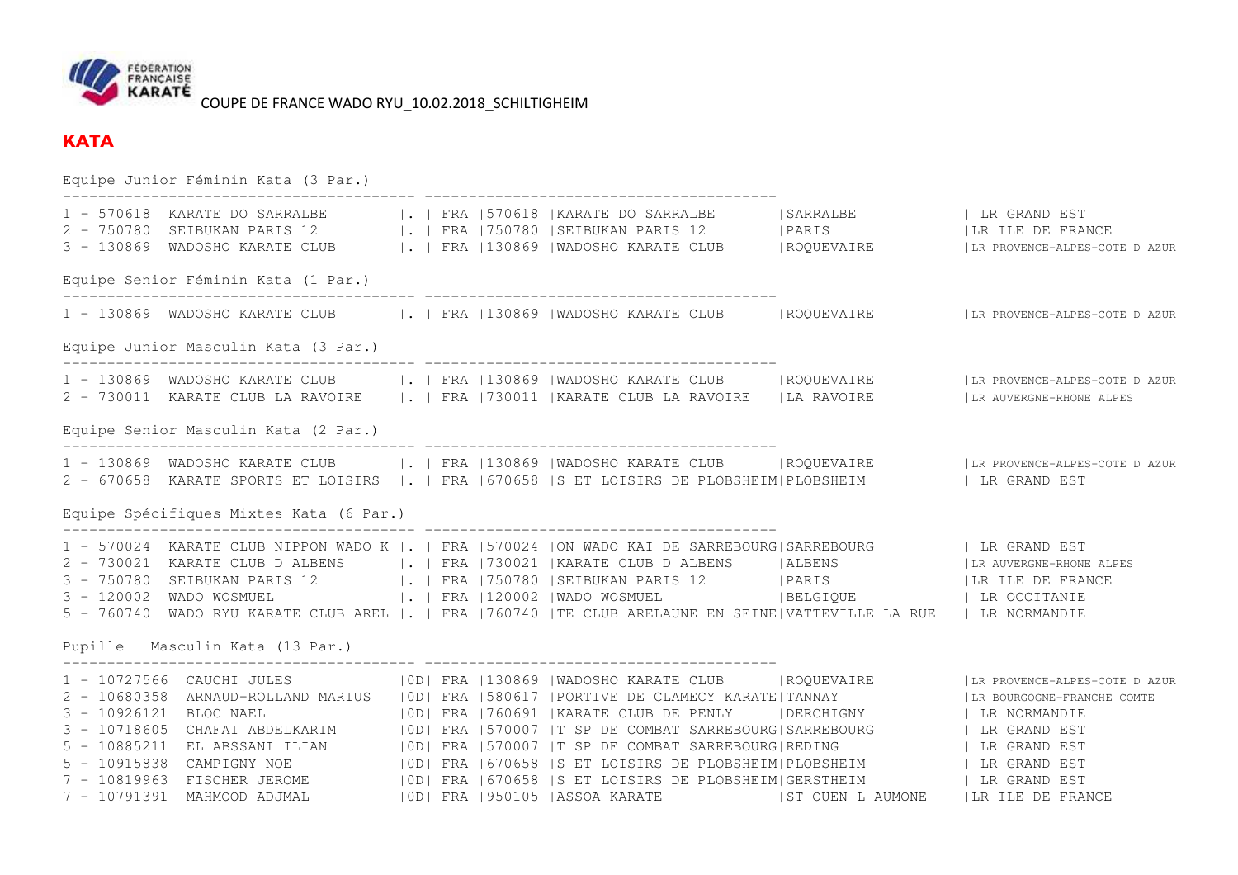

## **KATA**

Equipe Junior Féminin Kata (3 Par.) ---------------------------------------- ---------------------------------------- 1 – 570618 KARATE DO SARRALBE |. | FRA |570618 |KARATE DO SARRALBE | SARRALBE | LR GRAND EST<br>2 – 750780 SEIBUKAN PARIS 12 |. | FRA |750780 |SEIBUKAN PARIS 12 | PARIS | LR I 3 - 130869 WADOSHO KARATE CLUB |. | FRA |130869 |WADOSHO KARATE CLUB |ROQUEVAIRE |LR PROVENCE-ALPES-COTE D AZUR Equipe Senior Féminin Kata (1 Par.) ---------------------------------------- ---------------------------------------- 1 - 130869 WADOSHO KARATE CLUB |. | FRA |130869 |WADOSHO KARATE CLUB |ROQUEVAIRE |LR PROVENCE-ALPES-COTE D AZUR Equipe Junior Masculin Kata (3 Par.) ---------------------------------------- ---------------------------------------- 1 - 130869 WADOSHO KARATE CLUB |. | FRA |130869 |WADOSHO KARATE CLUB |ROQUEVAIRE |LR PROVENCE-ALPES-COTE D AZUR 2 - 730011 KARATE CLUB LA RAVOIRE |. | FRA |730011 |KARATE CLUB LA RAVOIRE |LA RAVOIRE |LR AUVERGNE-RHONE ALPESEquipe Senior Masculin Kata (2 Par.) ---------------------------------------- ---------------------------------------- 1 - 130869 WADOSHO KARATE CLUB |. | FRA |130869 |WADOSHO KARATE CLUB |ROQUEVAIRE |LR PROVENCE-ALPES-COTE D AZUR 2 - 670658 KARATE SPORTS ET LOISIRS |. | FRA |670658 |S ET LOISIRS DE PLOBSHEIM|PLOBSHEIM | LR GRAND EST Equipe Spécifiques Mixtes Kata (6 Par.) ---------------------------------------- ---------------------------------------- 1 - 570024 KARATE CLUB NIPPON WADO K |. | FRA |570024 |ON WADO KAI DE SARREBOURG|SARREBOURG | LR GRAND EST 2 - 730024 KARATE CLUB NIPPON WADO K |. | FRA |J70024 |ON WADO ALL 22 SAMEROL ALBENS | ALBENS | ALBENS | ALBENS<br>2 - 730021 KARATE CLUB D ALBENS | | | FRA | 730021 | KARATE CLUB D ALBENS | ALBENS | ALBENS 3 - 750780 SEIBUKAN PARIS 12 |. | FRA |750780 |SEIBUKAN PARIS 12 | PARIS 3 - 120002 WADO WOSMUEL | | FRA |120002 |WADO WOSMUEL | BELGIQUE | LR OCCITANIE 5 - 760740 WADO RYU KARATE CLUB AREL |. | FRA |760740 |TE CLUB ARELAUNE EN SEINE|VATTEVILLE LA RUE | LR NORMANDIE Pupille Masculin Kata (13 Par.) ---------------------------------------- ---------------------------------------- 1 - 10727566 CAUCHI JULES |OD| FRA |130869 |WADOSHO KARATE CLUB |ROQUEVAIRE |LR PROVENCE-ALPES-COTE D AZUR<br>2 - 10680358 ARNAUD-ROLLAND MARIUS |OD| FRA |580617 |PORTIVE DE CLAMECY KARATE|TANNAY 3 - 10926121 BLOC NAEL |0D| FRA |760691 |KARATE CLUB DE PENLY |DERCHIGNY | LR NORMANDIE | LR GRAND EST 3 - 10718605 CHAFAI ABDELKARIM |0D| FRA |570007 |T SP DE COMBAT SARREBOURG|SARREBOURG | LR GRAND EST | LR GRAND EST 5 - 10885211 EL ABSSANI ILIAN | OD| FRA | 570007 | T SP DE COMBAT SARREBOURG|REDING | LR GRAND EST 5 - 10915838 CAMPIGNY NOE | 0D| FRA |670658 |S ET LOISIRS DE PLOBSHEIM|PLOBSHEIM | LR GRAND EST 7 - 10819963 FISCHER JEROME | OD| FRA |670658 |S ET LOISIRS DE PLOBSHEIM|GERSTHEIM 7 - 10791391 MAHMOOD ADJMAL |OD| FRA |950105 |ASSOA KARATE |ST OUEN L AUMONE |LR ILE DE FRANCE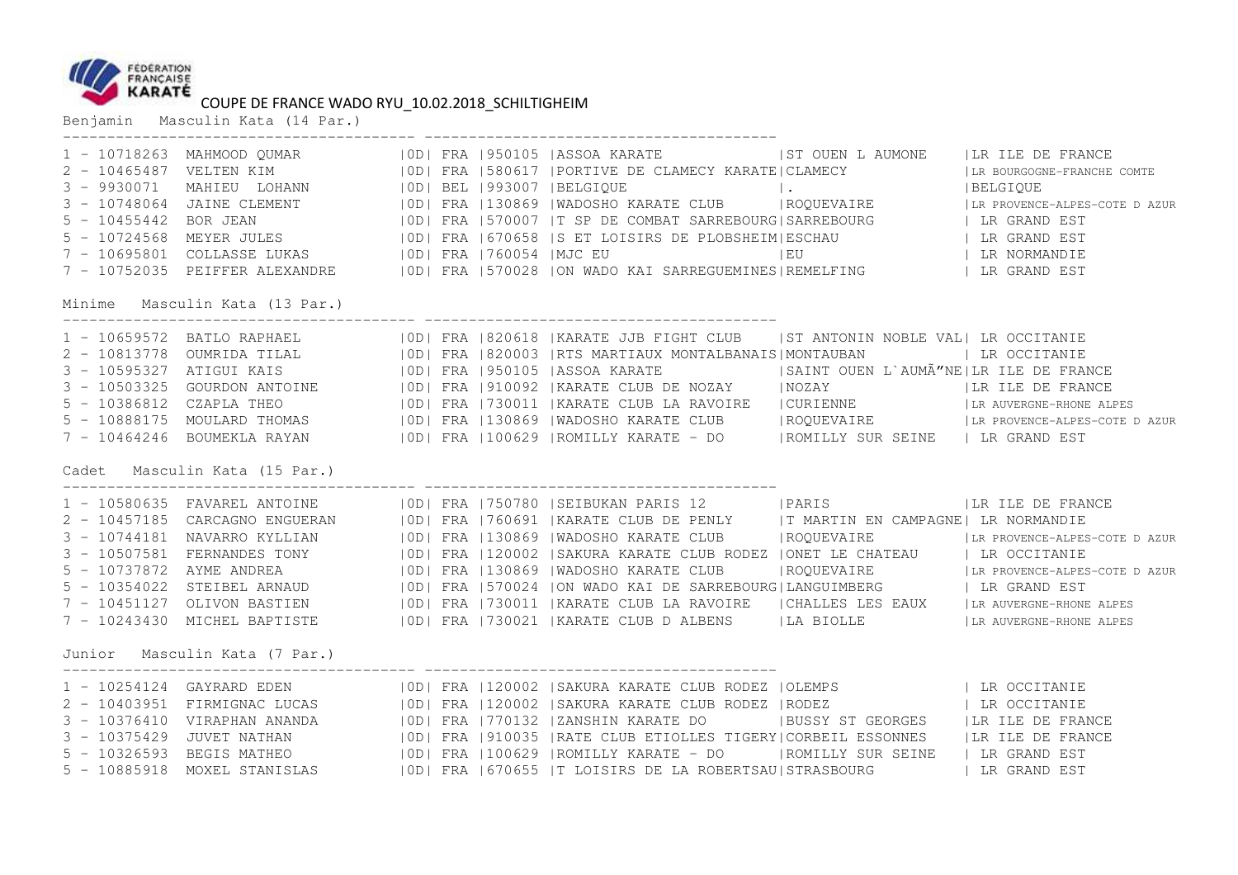

Benjamin Masculin Kata (14 Par.)

| Minime Masculin Kata (13 Par.) |  | 1 - 10718263 MAHMOOD QUMAR   OD  FRA   950105   ASSOA KARATE   ST OUEN LAUMONE   LR ILE DE FRANCE<br>2 – 10/165487 VELTEN KIM<br>3 – 9930071 MAHIEU LOHANN (10D) FRA 1580617 IPORTIVE DE CLAMECY KARATE (CLAMECY (LAMECY 100 – FRANCISCORE-FRANCISCORE-FRANCISCORE-FRANCISCORE-FRANCISCORE-FRANCISCORE-FRANCISCORE-FRANCISCORE (BELG                                                                                                                                                                                                                                                                                                                                                                                                                                                                                                                                                                                           |  |
|--------------------------------|--|--------------------------------------------------------------------------------------------------------------------------------------------------------------------------------------------------------------------------------------------------------------------------------------------------------------------------------------------------------------------------------------------------------------------------------------------------------------------------------------------------------------------------------------------------------------------------------------------------------------------------------------------------------------------------------------------------------------------------------------------------------------------------------------------------------------------------------------------------------------------------------------------------------------------------------|--|
|                                |  | 1 - 10659572 BATLO RAPHAEL (ID) FRA   820618   KARATE JJB FIGHT CLUB   ST ANTONIN NOBLE VAL   LR OCCITANIE<br>2 – 10813778 OUMRIDA TILAL (100 FRA (820003  RTS MARTIAUX MONTALBANAIS  MONTAUBAN<br>3 – 10595327 ATIGUI KAIS (100 FRA (950105  ASSOA KARATE (100 BE NOZAY (100 KRA) (100 BE NA POSTANTE 100 BE NO<br>3 – 10595327 ATIGUI KAIS (100                                                                                                                                                                                                                                                                                                                                                                                                                                                                                                                                                                              |  |
| Cadet Masculin Kata (15 Par.)  |  |                                                                                                                                                                                                                                                                                                                                                                                                                                                                                                                                                                                                                                                                                                                                                                                                                                                                                                                                |  |
|                                |  | 1 - 10580635 FAVAREL ANTOINE   0D  FRA   750780   SEIBUKAN PARIS 12   PARIS   12   LR ILE DE FRANCE<br>2 - 10457185 CARCAGNO ENGUERAN   0D   FRA   760691   KARATE CLUB DE PENLY   T MARTIN EN CAMPAGNE   LR NORMANDIE<br>3 - 10744181 NAVARRO KYLLIAN   OD  FRA   130869   WADOSHO KARATE CLUB   ROQUEVAIRE   LR PROVENCE-ALPES-COTE DAZUR<br>3 - 10507581 FERNANDES TONY   OD  FRA   120002   SAKURA KARATE CLUB RODEZ   ONET LE CHATEAU   LR OCCITANIE<br>5 - 10737872 AYME ANDREA (OD) FRA   130869   WADOSHO KARATE CLUB   ROQUEVAIRE   LR PROVENCE-ALPES-COTE DAZUR<br>5 - 10354022 STEIBEL ARNAUD   0D  FRA   570024   ON WADO KAI DE SARREBOURG   LANGUIMBERG     LR GRAND EST<br>7 - 10451127 OLIVON BASTIEN   OD  FRA   730011   KARATE CLUB LA RAVOIRE   CHALLES LES EAUX   LR AUVERGNE-RHONE ALPES<br>7 - 10243430 MICHEL BAPTISTE   0D  FRA   730021   KARATE CLUB D ALBENS   LA BIOLLE   LR AUVERGNE-RHONE ALPES |  |
| Junior Masculin Kata (7 Par.)  |  |                                                                                                                                                                                                                                                                                                                                                                                                                                                                                                                                                                                                                                                                                                                                                                                                                                                                                                                                |  |
|                                |  | 1 - 10254124 GAYRARD EDEN (IODI FRA 120002 ISAKURA KARATE CLUB RODEZ IOLEMPS   LR OCCITANIE<br>2 - 10403951 FIRMIGNAC LUCAS   IODI FRA 120002 ISAKURA KARATE CLUB RODEZ   RODEZ   IN OCCITANIE<br>3 - 10376410 VIRAPHAN ANANDA   OD  FRA   770132   ZANSHIN KARATE DO   BUSSY ST GEORGES   LR ILE DE FRANCE<br>3 - 10375429 JUVET NATHAN   0D  FRA   910035   RATE CLUB ETIOLLES TIGERY  CORBEIL ESSONNES   LR ILE DE FRANCE<br>5 - 10326593 BEGIS MATHEO (IOD) FRA 100629   ROMILLY KARATE - DO (IROMILLY SUR SEINE ) LR GRAND EST<br>5 - 10885918 MOXEL STANISLAS   0D  FRA   670655   T LOISIRS DE LA ROBERTSAU   STRASBOURG   LR GRAND EST                                                                                                                                                                                                                                                                                 |  |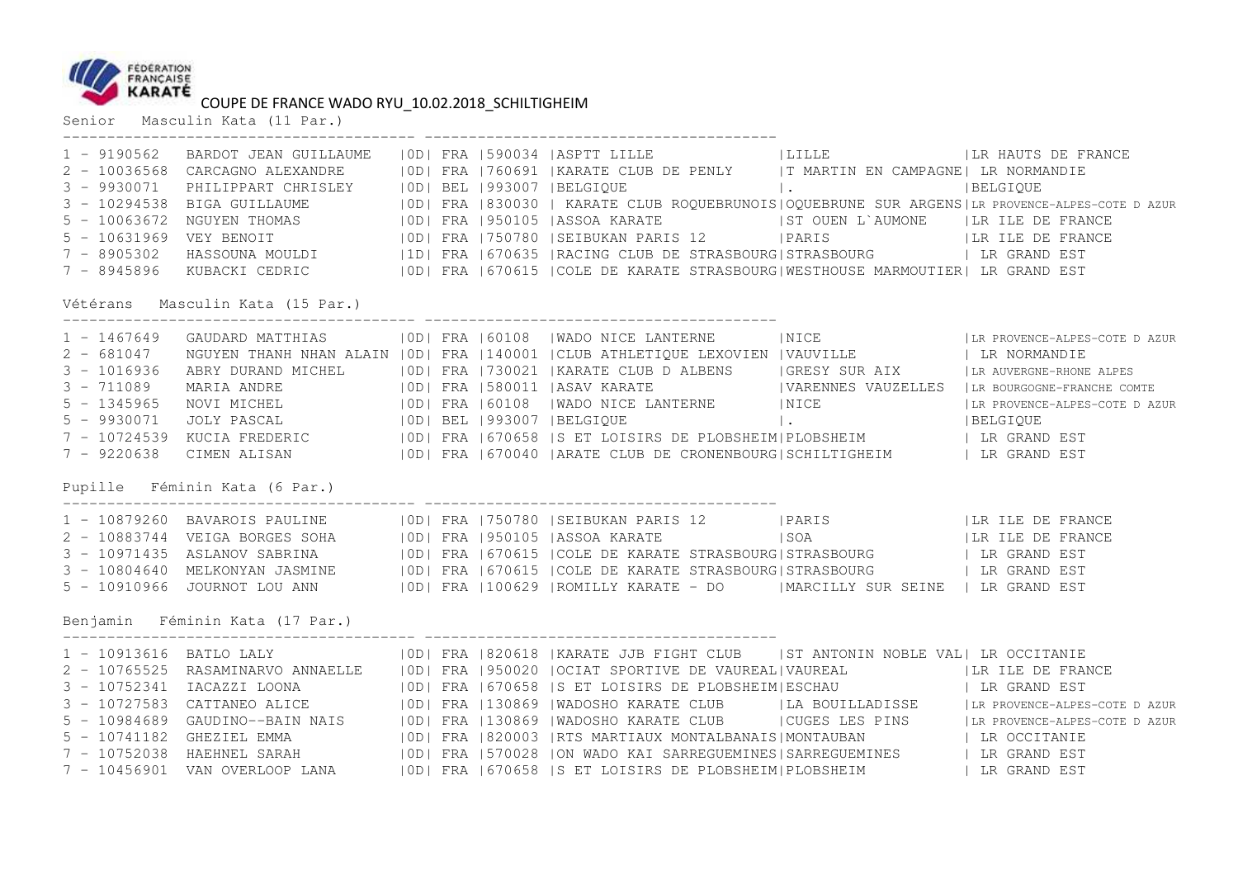

Senior Masculin Kata (11 Par.)

|               | Vétérans Masculin Kata (15 Par.)                                 |  | 1 - 9190562 BARDOT JEAN GUILLAUME   OD  FRA   590034   ASPTT LILLE   LILLE   LILLE   LR HAUTS DE FRANCE   2 - 10036568 CARCAGNO ALEXANDRE   OD  FRA   760691   KARATE CLUB DE PENLY   T MARTIN EN CAMPAGNE  LR NORMANDIE<br>2 1003000 C CHOROLOGY CHANNERS (COLLED BELGIQUE 1 MARTIE ON THE PART ON THE PELGIQUE<br>3 - 10294538 BIGA GUILLAUME (101) BEL 1930030   KARATE CLUB ROQUEBRUNOIS OQUEBRUNE SUR ARGENS LR PROVENCE-ALPES-COTE DAZUR<br>5 - 1063672 |  |
|---------------|------------------------------------------------------------------|--|---------------------------------------------------------------------------------------------------------------------------------------------------------------------------------------------------------------------------------------------------------------------------------------------------------------------------------------------------------------------------------------------------------------------------------------------------------------|--|
| $3 - 1016936$ |                                                                  |  | 1 - 1467649 GAUDARD MATTHIAS   OD  FRA   60108   WADO NICE LANTERNE     NICE     LR PROVENCE-ALPES-COTE DAZUR<br>2 - 681047 NGUYEN THANH NHAN ALAIN   OD  FRA   140001   CLUB ATHLETIQUE LEXOVIEN   VAUVILLE     LR NORMANDIE<br>ABRY DURAND MICHEL (OD  FRA   730021   KARATE CLUB D ALBENS   GRESY SUR AIX   LR AUVERGNE-RHONE ALPES                                                                                                                        |  |
|               | Pupille Féminin Kata (6 Par.)<br>Benjamin Féminin Kata (17 Par.) |  | 1 - 10879260 BAVAROIS PAULINE   0D  FRA   750780   SEIBUKAN PARIS 12   PARIS     LA ILE DE FRANCE<br>2 - 10883744 VEIGA BORGES SOHA   OD  FRA   950105   ASSOA KARATE   SOA     SOA     LR ILE DE FRANCE<br>3 - 10971435 ASLANOV SABRINA   0D  FRA   670615   COLE DE KARATE STRASBOURG   STRASBOURG   LR GRAND EST<br>3 - 10804640 MELKONYAN JASMINE   0D  FRA   670615   COLE DE KARATE STRASBOURG   STRASBOURG   LR GRAND EST                              |  |
|               |                                                                  |  | 1 - 10913616 BATLO LALY (100) FRA 1820618  KARATE JJB FIGHT CLUB   ST ANTONIN NOBLE VAL  LR OCCITANIE<br>2 - 10765525 RASAMINARVO ANNAELLE (100) FRA 1950020  OCIAT SPORTIVE DE VAUREAL VAUREAL (100   ER ILE DE FRANCE<br>3 - 10752<br>5 - 10741182 GHEZIEL EMMA   0D   FRA   820003   RTS MARTIAUX MONTALBANAIS   MONTAUBAN   LR OCCITANIE<br>7 - 10456901 VAN OVERLOOP LANA   OD  FRA   670658   SET LOISIRS DE PLOBSHEIM  PLOBSHEIM   LR GRAND EST        |  |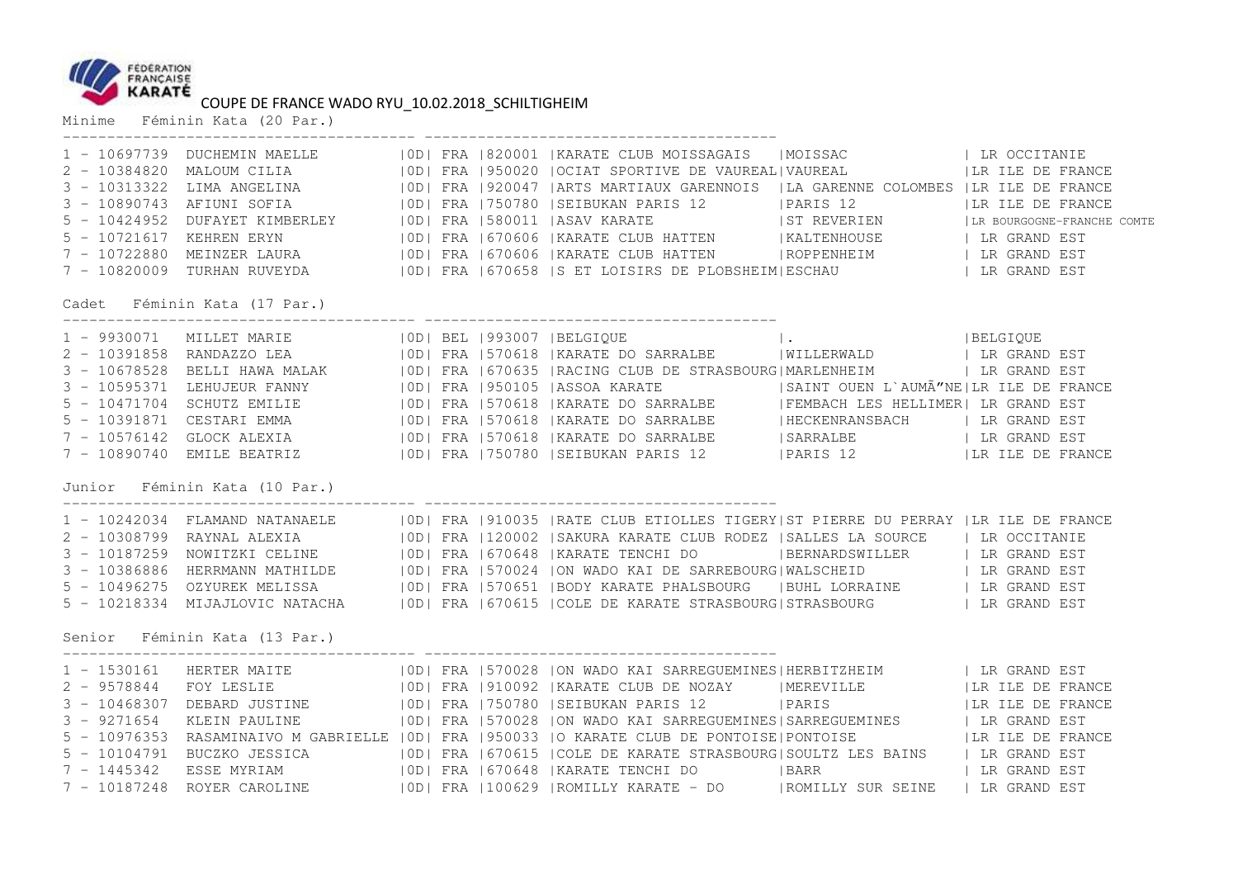

Minime Féminin Kata (20 Par.)

|               |                                 |  | 7 - 10820009 TURHAN RUVEYDA   0D  FRA   670658   S ET LOISIRS DE PLOBSHEIM  ESCHAU   LR GRAND EST                                                                                                                                    |  |  |
|---------------|---------------------------------|--|--------------------------------------------------------------------------------------------------------------------------------------------------------------------------------------------------------------------------------------|--|--|
|               | Cadet Féminin Kata (17 Par.)    |  |                                                                                                                                                                                                                                      |  |  |
|               |                                 |  |                                                                                                                                                                                                                                      |  |  |
|               |                                 |  |                                                                                                                                                                                                                                      |  |  |
|               |                                 |  |                                                                                                                                                                                                                                      |  |  |
|               |                                 |  |                                                                                                                                                                                                                                      |  |  |
|               |                                 |  |                                                                                                                                                                                                                                      |  |  |
|               |                                 |  | 5 - 10391871 CESTARI EMMA (10D) FRA 570618   KARATE DO SARRALBE (HECKENRANSBACH ) LR GRAND EST                                                                                                                                       |  |  |
|               |                                 |  |                                                                                                                                                                                                                                      |  |  |
|               |                                 |  | 7 - 10576142 GLOCK ALEXIA (IODI FRA 1570618   KARATE DO SARRALBE (SARRALBE ) LR GRAND EST<br>7 - 10890740 EMILE BEATRIZ (IODI FRA 1750780   SEIBUKAN PARIS 12 (PARIS 12) (IR ILE DE FRANCE                                           |  |  |
|               | Junior - Féminin Kata (10 Par.) |  |                                                                                                                                                                                                                                      |  |  |
|               |                                 |  |                                                                                                                                                                                                                                      |  |  |
|               |                                 |  |                                                                                                                                                                                                                                      |  |  |
|               |                                 |  | 1 - 10242034 FLAMAND NATANAELE   10D  FRA   910035   RATE CLUB ETIOLLES TIGERY ST PIERRE DU PERRAY   LR ILE DE FRANCE<br>2 - 10308799 RAYNAL ALEXIA   10D  FRA   120002   SAKURA KARATE CLUB RODEZ   SALLES LA SOURCE   LR OCCITA    |  |  |
|               |                                 |  | 3 - 10386886 HERRMANN MATHILDE   0D  FRA   570024   ON WADO KAI DE SARREBOURG   WALSCHEID   LR GRAND EST                                                                                                                             |  |  |
|               |                                 |  |                                                                                                                                                                                                                                      |  |  |
|               |                                 |  | 5 - 10496275 OZYUREK MELISSA (IODI FRA 1570651   BODY KARATE PHALSBOURG (I BUHL LORRAINE )   LR GRAND EST<br>5 - 10218334 MIJAJLOVIC NATACHA (IODI FRA 1670615   COLE DE KARATE STRASBOURG   STRASBOURG )   LR GRAND EST             |  |  |
|               | Senior Féminin Kata (13 Par.)   |  |                                                                                                                                                                                                                                      |  |  |
|               |                                 |  | 1 - 1530161 HERTER MAITE (10D) FRA 1570028 ION WADO KAI SARREGUEMINES HERBITZHEIM (1 LR GRAND EST)<br>2 - 9578844 FOY LESLIE (10D) FRA 1910092  KARATE CLUB DE NOZAY (11) IMEREVILLE (11) ILR ILE DE FRANCE<br>2 - 10468307 DEBARD J |  |  |
|               |                                 |  |                                                                                                                                                                                                                                      |  |  |
|               |                                 |  |                                                                                                                                                                                                                                      |  |  |
| $3 - 9271654$ |                                 |  | KLEIN PAULINE 6 6 100   FRA 1570028   ON WADO KAI SARREGUEMINES   SARREGUEMINES   LR GRAND EST                                                                                                                                       |  |  |
|               |                                 |  | 5 - 10976353 RASAMINAIVO M GABRIELLE   OD   FRA   950033   O KARATE CLUB DE PONTOISE   PONTOISE     LR ILE DE FRANCE                                                                                                                 |  |  |
|               |                                 |  |                                                                                                                                                                                                                                      |  |  |
|               |                                 |  |                                                                                                                                                                                                                                      |  |  |
|               |                                 |  |                                                                                                                                                                                                                                      |  |  |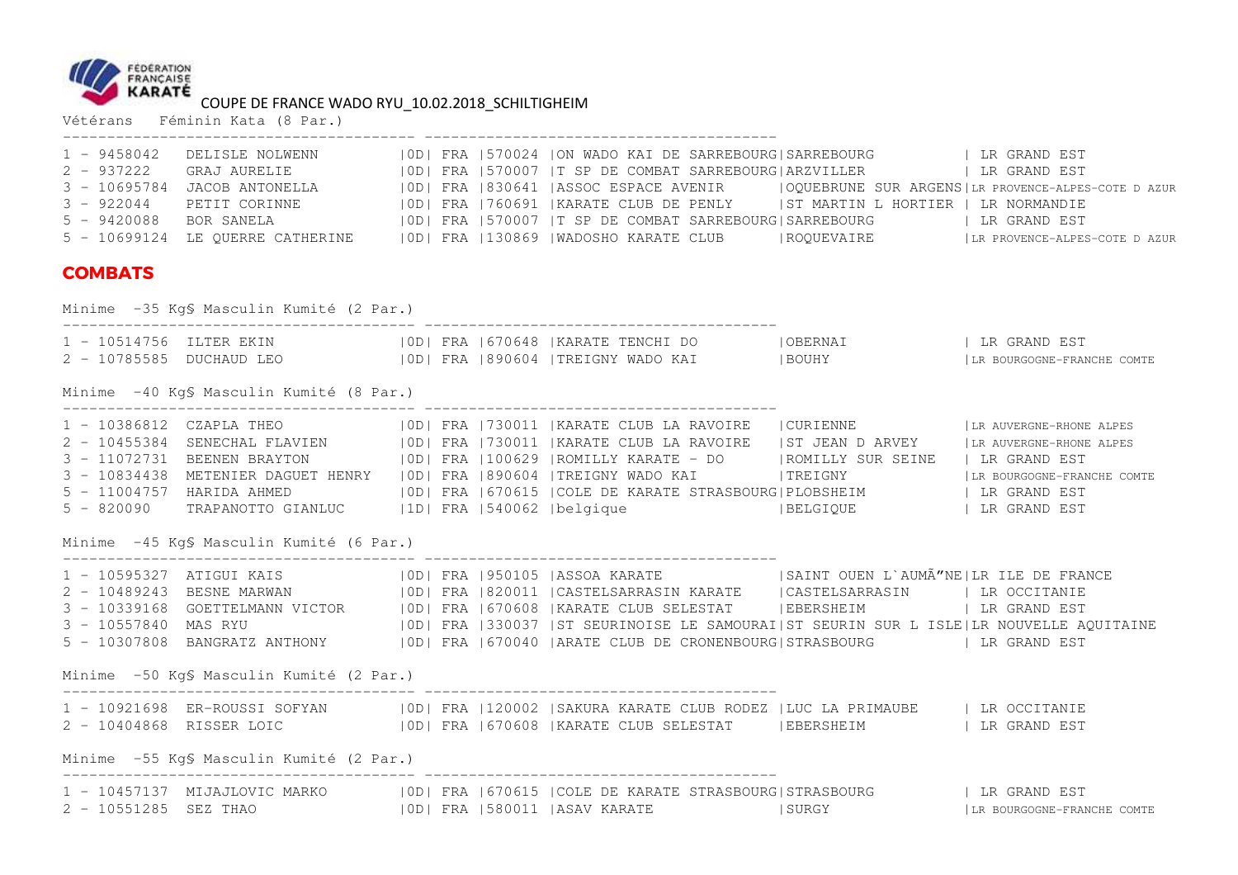

|                | COUPE DE FRANCE WADO RYU_10.02.2018_SCHILTIGHEIM<br>Vétérans Féminin Kata (8 Par.) |  |                                                                                                                                                                                                                                                                                                                                                                                                                                                                                                                                                 |                            |
|----------------|------------------------------------------------------------------------------------|--|-------------------------------------------------------------------------------------------------------------------------------------------------------------------------------------------------------------------------------------------------------------------------------------------------------------------------------------------------------------------------------------------------------------------------------------------------------------------------------------------------------------------------------------------------|----------------------------|
|                |                                                                                    |  |                                                                                                                                                                                                                                                                                                                                                                                                                                                                                                                                                 |                            |
| <b>COMBATS</b> |                                                                                    |  |                                                                                                                                                                                                                                                                                                                                                                                                                                                                                                                                                 |                            |
|                | Minime -35 Kg\$ Masculin Kumité (2 Par.)                                           |  |                                                                                                                                                                                                                                                                                                                                                                                                                                                                                                                                                 |                            |
|                |                                                                                    |  |                                                                                                                                                                                                                                                                                                                                                                                                                                                                                                                                                 |                            |
|                | Minime -40 KgS Masculin Kumité (8 Par.)                                            |  |                                                                                                                                                                                                                                                                                                                                                                                                                                                                                                                                                 |                            |
|                |                                                                                    |  | 1 - 10386812 CZAPLA THEO   0D  FRA   730011   KARATE CLUB LA RAVOIRE   CURIENNE     LR AUVERGNE-RHONE ALPES<br>2 - 10455384 SENECHAL FLAVIEN (OD) FRA 730011 KARATE CLUB LA RAVOIRE (ST JEAN D ARVEY   LR AUVERGNE-RHONE ALPES<br>3 - 11072731 BEENEN BRAYTON (OD) FRA 1100629  ROMILLY KARATE - DO    ROMILLY SUR SEINE   LR GRAND EST<br>3 - 1083<br>5 - 11004757 HARIDA AHMED (100) FRA 670615 COLE DE KARATE STRASBOURG PLOBSHEIM (1 DR GRAND EST 5 - 820090 TRAPANOTTO GIANLUC (100) FRA 1540062  belgique (1   BELGIQUE (1   DR GRAND EST |                            |
|                | Minime -45 KgS Masculin Kumité (6 Par.)                                            |  |                                                                                                                                                                                                                                                                                                                                                                                                                                                                                                                                                 |                            |
|                |                                                                                    |  | 1 - 10595327 ATIGUI KAIS (100   FRA 1950105  ASSOA KARATE (1981   SAINT OUEN L'AUMÃ"NE   LR ILE DE FRANCE 2 - 10489243 BESNE MARWAN (100   FRA 1820011   CASTELSARRASIN KARATE (200   CASTELSARRASIN   LR OCCITANIE<br>3 - 103391                                                                                                                                                                                                                                                                                                               |                            |
|                | Minime -50 KgS Masculin Kumité (2 Par.)                                            |  |                                                                                                                                                                                                                                                                                                                                                                                                                                                                                                                                                 |                            |
|                |                                                                                    |  | 2 - 10404868 RISSER LOIC (10D) FRA 1670608   KARATE CLUB SELESTAT (EBERSHEIM ) LR GRAND EST                                                                                                                                                                                                                                                                                                                                                                                                                                                     |                            |
|                | Minime -55 KgS Masculin Kumité (2 Par.)                                            |  |                                                                                                                                                                                                                                                                                                                                                                                                                                                                                                                                                 |                            |
|                |                                                                                    |  | 1 - 10457137 MIJAJLOVIC MARKO         OD  FRA  670615  COLE DE KARATE STRASBOURG STRASBOURG             LR GRAND EST<br>2 - 10551285 SEZ THAO              OD  FRA  580011  ASAV KARATE         SURGY                   LR BOURGO                                                                                                                                                                                                                                                                                                               | LR BOURGOGNE-FRANCHE COMTE |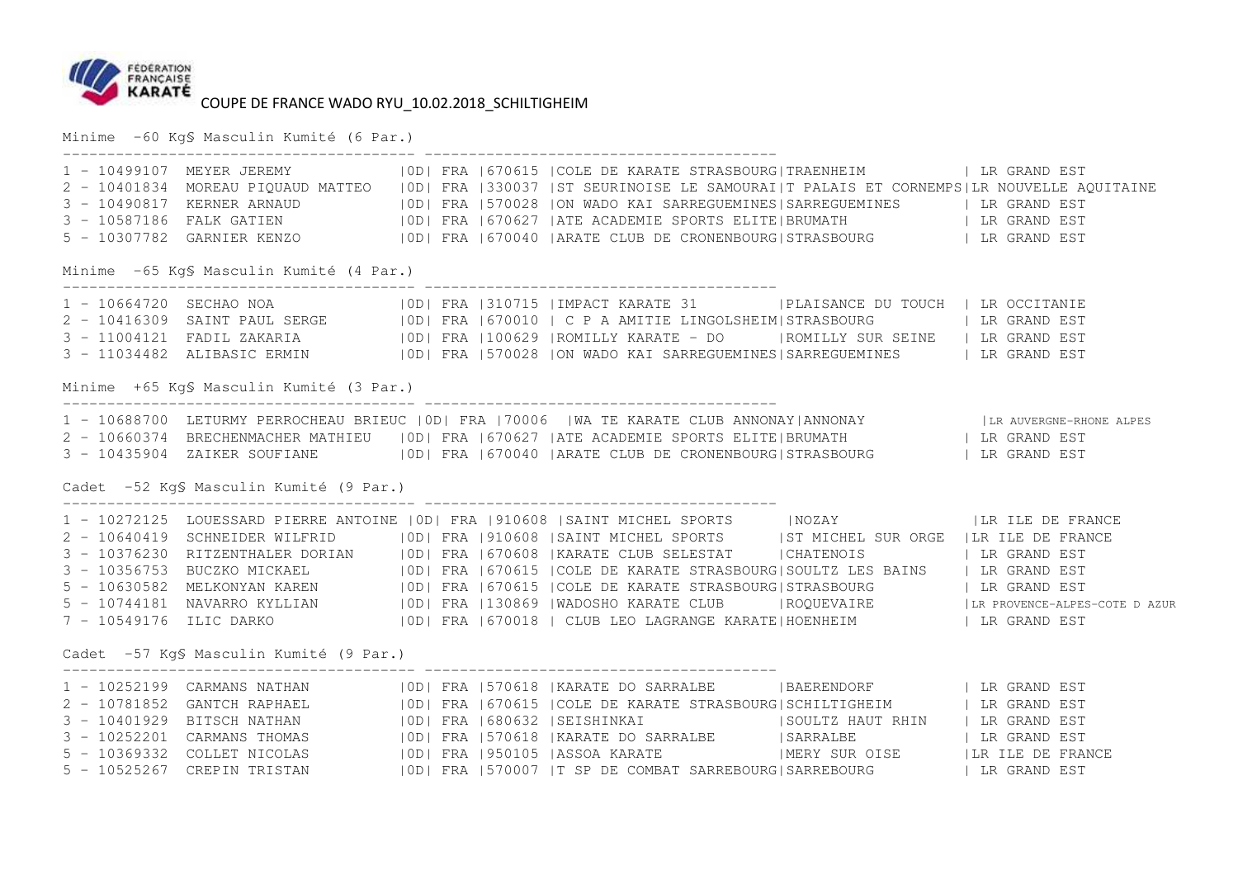

Minime -60 Kg§ Masculin Kumité (6 Par.)

|                                          |  | 1 - 10499107 MEYER JEREMY   OD  FRA   670615   COLE DE KARATE STRASBOURG  TRAENHEIM   LR GRAND EST<br>2 - 10401834 MOREAU PIQUAUD MATTEO   OD  FRA   330037   ST SEURINOISE LE SAMOURAI  TPALAIS ET CORNEMPS  LR NOUVELLE AQUITAI<br>3 - 10490817 KERNER ARNAUD   100   FRA 1570028  ON WADO KAI SARREGUEMINES   SARREGUEMINES   LR GRAND EST<br>3 - 10587186 FALK GATIEN   100   FRA 1670627   ATE ACADEMIE SPORTS ELITE   BRUMATH   LR GRAND EST<br>5 - 10307782 GARNIE |  |
|------------------------------------------|--|---------------------------------------------------------------------------------------------------------------------------------------------------------------------------------------------------------------------------------------------------------------------------------------------------------------------------------------------------------------------------------------------------------------------------------------------------------------------------|--|
| Minime -65 Kg\$ Masculin Kumité (4 Par.) |  |                                                                                                                                                                                                                                                                                                                                                                                                                                                                           |  |
|                                          |  | 1 - 10664720 SECHAO NOA (OD) FRA   310715   IMPACT KARATE 31   PLAISANCE DU TOUCH   LR OCCITANIE<br>2 - 10416309 SAINT PAUL SERGE (100   FRA   670010   C P A AMITIE LINGOLSHEIM STRASBOURG   LA GOOTINUE EST<br>3 - 11004121 FADIL ZAKARIA (100629   ROMILLY KARATE - DO   ROMILLY SUR SEINE   LR GRAND EST<br>3 - 11034482 ALIBASIC ER                                                                                                                                  |  |
| Minime +65 Kg\$ Masculin Kumité (3 Par.) |  |                                                                                                                                                                                                                                                                                                                                                                                                                                                                           |  |
| Cadet -52 KgS Masculin Kumité (9 Par.)   |  | 1 - 10688700 LETURMY PERROCHEAU BRIEUC   OD  FRA   70006   WA TE KARATE CLUB ANNONAY ANNONAY     LR AUVERGNE-RHONE ALPES<br>2 - 10660374 BRECHENMACHER MATHIEU   OD  FRA   670627   ATE ACADEMIE SPORTS ELITE BRUMATH     LR GRAN<br>3 - 10435904 ZAIKER SOUFIANE   0D   FRA   670040   ARATE CLUB DE CRONENBOURG   STRASBOURG     LR GRAND EST                                                                                                                           |  |
|                                          |  |                                                                                                                                                                                                                                                                                                                                                                                                                                                                           |  |
|                                          |  | 1 - 10272125 LOUESSARD PIERRE ANTOINE   OD  FRA   910608   SAINT MICHEL SPORTS   NOZAY     LR ILE DE FRANCE<br>2 - 10640419 SCHNEIDER WILFRID   OD  FRA   910608   SAINT MICHEL SPORTS   ST MICHEL SUR ORGE   LR ILE DE FRANCE                                                                                                                                                                                                                                            |  |
|                                          |  | 3 - 10376230 RITZENTHALER DORIAN   OD  FRA   670608   KARATE CLUB SELESTAT   CHATENOIS     LR GRAND EST                                                                                                                                                                                                                                                                                                                                                                   |  |
|                                          |  | 3 - 10356753 BUCZKO MICKAEL   0D  FRA   670615   COLE DE KARATE STRASBOURG   SOULTZ LES BAINS   LR GRAND EST                                                                                                                                                                                                                                                                                                                                                              |  |
|                                          |  | 5 - 10630582 MELKONYAN KAREN   OD  FRA   670615   COLE DE KARATE STRASBOURG   STRASBOURG   LR GRAND EST                                                                                                                                                                                                                                                                                                                                                                   |  |
|                                          |  | 5 - 10744181 NAVARRO KYLLIAN   OD  FRA   130869   WADOSHO KARATE CLUB   ROQUEVAIRE   LR PROVENCE-ALPES-COTE DAZUR                                                                                                                                                                                                                                                                                                                                                         |  |
|                                          |  | 7 - 10549176 ILIC DARKO (IOD) FRA 1670018   CLUB LEO LAGRANGE KARATE   HOENHEIM   LR GRAND EST                                                                                                                                                                                                                                                                                                                                                                            |  |
| Cadet -57 Kg\$ Masculin Kumité (9 Par.)  |  |                                                                                                                                                                                                                                                                                                                                                                                                                                                                           |  |
|                                          |  | 1 - 10252199 CARMANS NATHAN (100) FRA 1570618  KARATE DO SARRALBE (BAERENDORF 1 LR GRAND EST 2 - 10781852 GANTCH RAPHAEL (100) FRA 1570618  KARATE DO SARRALBE (BECHILITIGHEIM 1 LR GRAND EST 3 - 10401929 BITSCH NATHAN (100)                                                                                                                                                                                                                                            |  |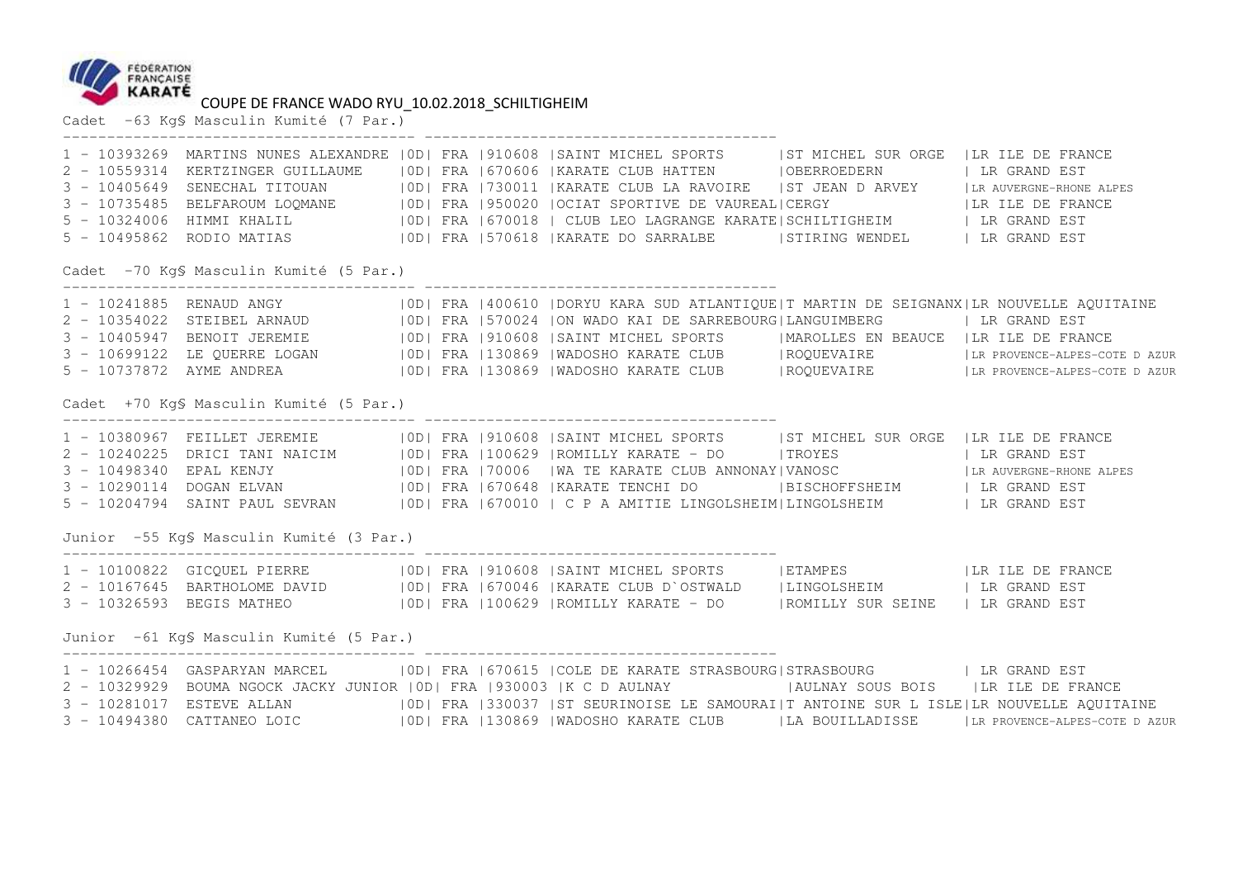

Cadet -63 Kg§ Masculin Kumité (7 Par.)

|                                          |  | 1 - 10393269 MARTINS NUNES ALEXANDRE   OD   FRA   910608   SAINT MICHEL SPORTS   ST MICHEL SUR ORGE   LR ILE DE FRANCE<br>2 - 10559314 KERTZINGER GUILLAUME   OD   FRA   670606   KARATE CLUB HATTEN   OBERROEDERN   LR GRAND EST<br>5 - 10324006 HIMMI KHALIL (OD) FRA   670018   CLUB LEO LAGRANGE KARATE   SCHILTIGHEIM   LR GRAND EST<br>5 - 10495862 RODIO MATIAS (IDI FRA 1570618   KARATE DO SARRALBE (STIRING WENDEL ) LR GRAND EST                                                                                                 |  |
|------------------------------------------|--|---------------------------------------------------------------------------------------------------------------------------------------------------------------------------------------------------------------------------------------------------------------------------------------------------------------------------------------------------------------------------------------------------------------------------------------------------------------------------------------------------------------------------------------------|--|
| Cadet -70 KgS Masculin Kumité (5 Par.)   |  |                                                                                                                                                                                                                                                                                                                                                                                                                                                                                                                                             |  |
|                                          |  | 1 - 10241885 RENAUD ANGY   0D   FRA   400610   DORYU KARA SUD ATLANTIQUE   T MARTIN DE SEIGNANX   LR NOUVELLE AQUITAINE<br>2 - 10354022 STEIBEL ARNAUD (100) FRA 1570024  ON WADO KAI DE SARREBOURG LANGUIMBERG   LR GRAND EST<br>3 - 10405947 BENOIT JEREMIE (100) FRA 1910608   SAINT MICHEL SPORTS   MAROLLES EN BEAUCE   LR ILE DE FRANCE<br>5 - 10737872 A                                                                                                                                                                             |  |
| Cadet +70 Kg\$ Masculin Kumité (5 Par.)  |  |                                                                                                                                                                                                                                                                                                                                                                                                                                                                                                                                             |  |
|                                          |  | 1 - 10380967 FEILLET JEREMIE   0D  FRA   910608   SAINT MICHEL SPORTS   ST MICHEL SUR ORGE   LR ILE DE FRANCE<br>2 - 10240225 DRICI TANI NAICIM   OD  FRA   100629   ROMILLY KARATE - DO     TROYES     LR GRAND EST<br>3 - 10498340 EPAL KENJY   OD  FRA   70006   WA TE KARATE CLUB ANNONAY   VANOSC   LR AUVERGNE-RHONE ALPES<br>3 - 10290114 DOGAN ELVAN (IOD) FRA 670648   KARATE TENCHI DO   BISCHOFFSHEIM   LR GRAND EST<br>5 - 10204794 SAINT PAUL SEVRAN   OD  FRA   670010   C P A AMITIE LINGOLSHEIM  LINGOLSHEIM   LR GRAND EST |  |
| Junior -55 Kg\$ Masculin Kumité (3 Par.) |  |                                                                                                                                                                                                                                                                                                                                                                                                                                                                                                                                             |  |
|                                          |  |                                                                                                                                                                                                                                                                                                                                                                                                                                                                                                                                             |  |
| Junior -61 KgS Masculin Kumité (5 Par.)  |  |                                                                                                                                                                                                                                                                                                                                                                                                                                                                                                                                             |  |
|                                          |  | 1 - 10266454 GASPARYAN MARCEL   0D  FRA   670615   COLE DE KARATE STRASBOURG   STRASBOURG   LR GRAND EST<br>2 - 10329929 BOUMA NGOCK JACKY JUNIOR   OD  FRA   930003   K C D AULNAY     AULNAY SOUS BOIS   LR ILE DE FRANCE<br>3 - 10281017 ESTEVE ALLAN 600   ERA   330037   ST SEURINOISE LE SAMOURAI   T ANTOINE SUR L ISLE   LR NOUVELLE AQUITAINE<br>3 - 10494380 CATTANEO LOIC   0D  FRA  130869  WADOSHO KARATE CLUB   LA BOUILLADISSE   LR PROVENCE-ALPES-COTE DAZUR                                                                |  |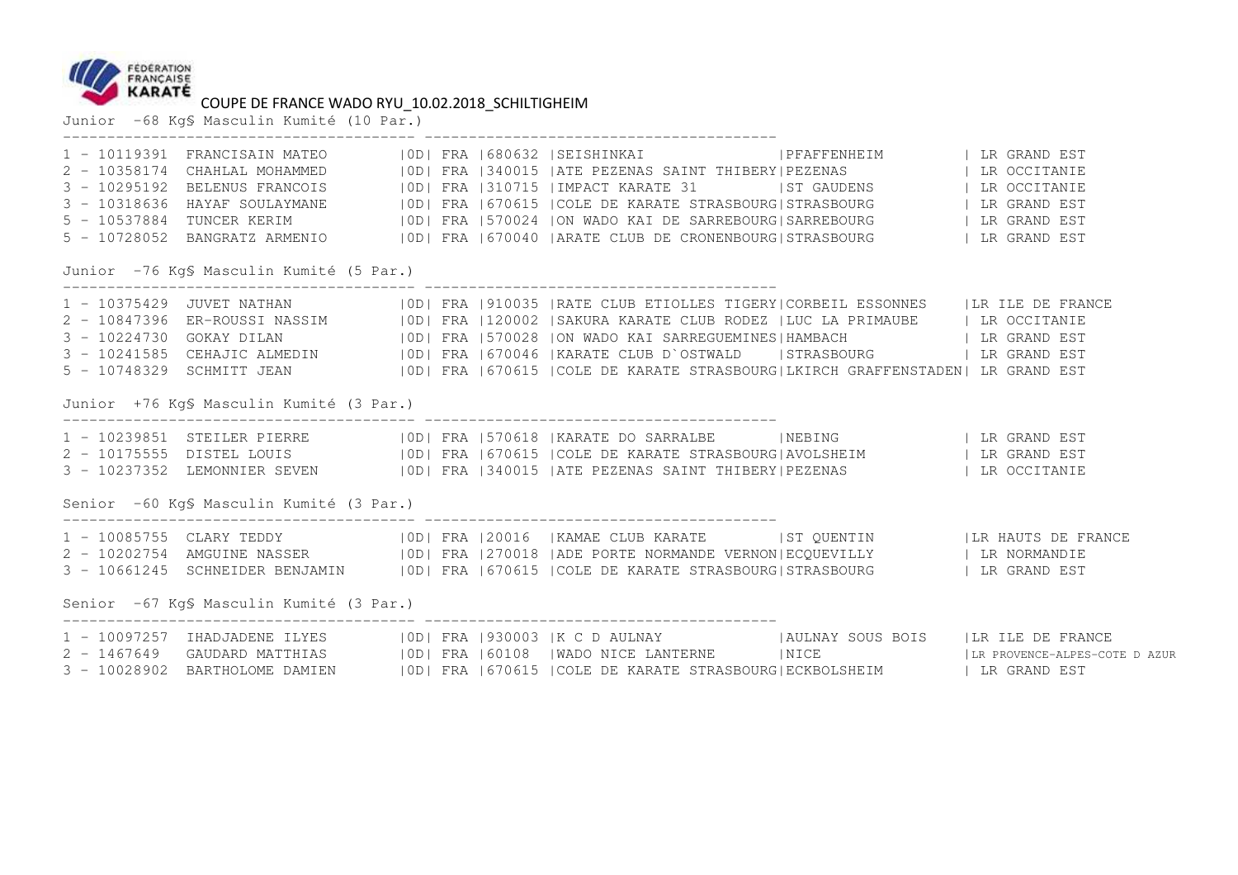

Junior -68 Kg§ Masculin Kumité (10 Par.)

|                                          |  | 1 - 10119391 FRANCISAIN MATEO (IOD) FRA (680632   SEISHINKAI / TPFAFFENHEIM   LR GRAND EST                                                                                                                                           |  |
|------------------------------------------|--|--------------------------------------------------------------------------------------------------------------------------------------------------------------------------------------------------------------------------------------|--|
|                                          |  | 2 - 10358174 CHAHLAL MOHAMMED (OD) FRA 1340015  ATE PEZENAS SAINT THIBERY PEZENAS (1999)<br>3 - 10295192 BELENUS FRANCOIS (OD) FRA 1310715  IMPACT KARATE 31   ST GAUDENS   LR OCCITANIE<br>3 - 10318636 HAYAF SOULAYMANE (OD) FRA 1 |  |
|                                          |  |                                                                                                                                                                                                                                      |  |
|                                          |  |                                                                                                                                                                                                                                      |  |
|                                          |  |                                                                                                                                                                                                                                      |  |
|                                          |  | 5 - 10537884 TUNCER KERIM   10D   FRA 1570024 ION WADO KAI DE SARREBOURG   SARREBOURG   LR GRAND EST<br>5 - 10728052 BANGRATZ ARMENIO   10D   FRA 1670040  ARATE CLUB DE CRONENBOURG STRASBOURG   LR GRAND EST                       |  |
| Junior -76 Kg\$ Masculin Kumité (5 Par.) |  |                                                                                                                                                                                                                                      |  |
|                                          |  | 1 - 10375429 JUVET NATHAN   0D  FRA   910035   RATE CLUB ETIOLLES TIGERY  CORBEIL ESSONNES   LR ILE DE FRANCE                                                                                                                        |  |
|                                          |  | 2 - 10847396 ER-ROUSSI NASSIM   OD  FRA   120002   SAKURA KARATE CLUB RODEZ   LUC LA PRIMAUBE   LR OCCITANIE                                                                                                                         |  |
|                                          |  |                                                                                                                                                                                                                                      |  |
|                                          |  | 3 - 10224730 GOKAY DILAN (ODI FRA 1570028 ION WADO KAI SARREGUEMINES HAMBACH ( LR GRAND EST )<br>3 - 10241585 CEHAJIC ALMEDIN (ODI FRA 1670046  KARATE CLUB D`OSTWALD (STRASBOURG ) LR GRAND EST                                     |  |
|                                          |  | 5 - 10748329 SCHMITT JEAN   OD  FRA   670615   COLE DE KARATE STRASBOURG   LKIRCH GRAFFENSTADEN   LR GRAND EST                                                                                                                       |  |
| Junior +76 Kg\$ Masculin Kumité (3 Par.) |  |                                                                                                                                                                                                                                      |  |
|                                          |  | 1 - 10239851 STEILER PIERRE   10D  FRA   570618   KARATE DO SARRALBE     NEBING       LR GRAND EST<br>2 - 10175555 DISTEL LOUIS   10D  FRA   670615   COLE DE KARATE STRASBOURG AVOLSHEIM     LR GRAND EST                           |  |
|                                          |  |                                                                                                                                                                                                                                      |  |
|                                          |  | 3 - 10237352 LEMONNIER SEVEN   0D  FRA   340015   ATE PEZENAS SAINT THIBERY  PEZENAS   LR OCCITANIE                                                                                                                                  |  |
| Senior -60 KgS Masculin Kumité (3 Par.)  |  |                                                                                                                                                                                                                                      |  |
|                                          |  | 1 - 10085755 CLARY TEDDY   OD  FRA   20016   KAMAE CLUB KARATE   ST QUENTIN   LR HAUTS DE FRANCE                                                                                                                                     |  |
|                                          |  | 2 - 10202754 AMGUINE NASSER   0D   FRA   270018   ADE PORTE NORMANDE VERNON   ECQUEVILLY   LR NORMANDIE                                                                                                                              |  |
|                                          |  | 3 - 10661245 SCHNEIDER BENJAMIN   OD  FRA   670615   COLE DE KARATE STRASBOURG   STRASBOURG   LR GRAND EST                                                                                                                           |  |
| Senior -67 KgS Masculin Kumité (3 Par.)  |  |                                                                                                                                                                                                                                      |  |
|                                          |  | 1 - 10097257 IHADJADENE ILYES   0D   FRA   930003   K C D AULNAY     AULNAY SOUS BOIS   LR ILE DE FRANCE                                                                                                                             |  |
|                                          |  | 2 - 1467649 GAUDARD MATTHIAS   OD  FRA  60108  WADO NICE LANTERNE     NICE     LIR PROVENCE-ALPES-COTE DAZUR<br>3 - 10028902 BARTHOLOME DAMIEN   OD  FRA  670615  COLE DE KARATE STRASBOURG ECKBOLSHEIM   LR GRAND EST               |  |
|                                          |  |                                                                                                                                                                                                                                      |  |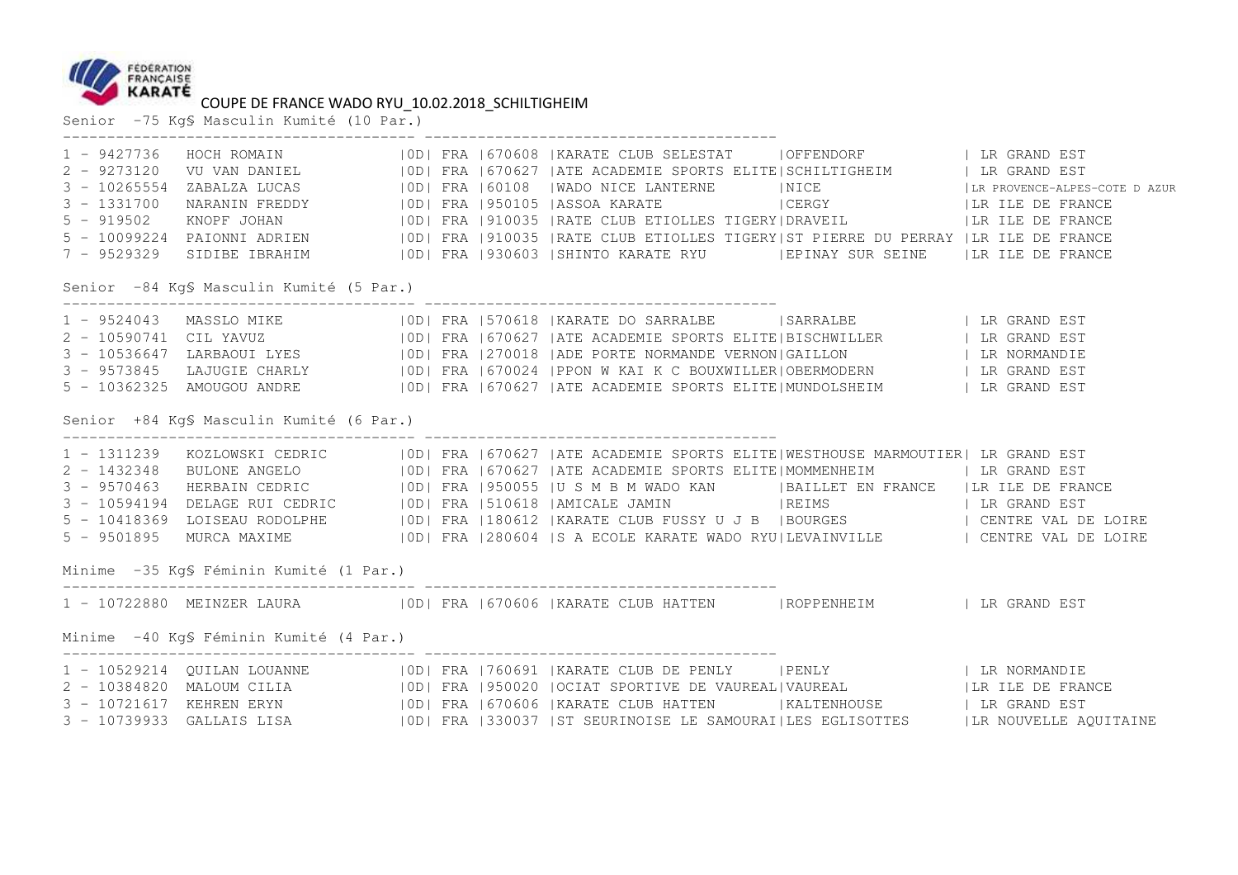

# COUPE DE FRANCE WADO RYU\_10.02.2018\_SCHILTIGHEIM Senior -75 Kg§ Masculin Kumité (10 Par.)

|               |                                          |  | 1 - 9427736 HOCH ROMAIN   OD  FRA   670608   KARATE CLUB SELESTAT   OFFENDORF     LR GRAND EST<br>2 - 9273120 VU VAN DANIEL   OD  FRA   670627   ATE ACADEMIE SPORTS ELITE   SCHILTIGHEIM   LR GRAND EST<br>3 - 10265554 ZABALZA LUC |  |
|---------------|------------------------------------------|--|--------------------------------------------------------------------------------------------------------------------------------------------------------------------------------------------------------------------------------------|--|
|               |                                          |  |                                                                                                                                                                                                                                      |  |
| $3 - 1331700$ |                                          |  | NARANIN FREDDY 6   OD   FRA   950105   ASSOA KARATE   CERGY   CERGY   LA ILE DE FRANCE                                                                                                                                               |  |
| $5 - 919502$  |                                          |  | KNOPF JOHAN 6   OD   FRA   910035   RATE CLUB ETIOLLES TIGERY   DRAVEIL   LR ILE DE FRANCE                                                                                                                                           |  |
|               |                                          |  | 5 - 10099224 PAIONNI ADRIEN   0D  FRA   910035   RATE CLUB ETIOLLES TIGERY   ST PIERRE DU PERRAY   LR ILE DE FRANCE                                                                                                                  |  |
|               |                                          |  | 7 - 9529329 SIDIBE IBRAHIM   0D  FRA   930603   SHINTO KARATE RYU   EPINAY SUR SEINE   LR ILE DE FRANCE                                                                                                                              |  |
|               | Senior -84 Kq\$ Masculin Kumité (5 Par.) |  |                                                                                                                                                                                                                                      |  |
|               |                                          |  |                                                                                                                                                                                                                                      |  |
|               |                                          |  |                                                                                                                                                                                                                                      |  |
|               |                                          |  |                                                                                                                                                                                                                                      |  |
|               |                                          |  | 3 - 9573845 LAJUGIE CHARLY   OD  FRA   670024   PPON W KAI K C BOUXWILLER  OBERMODERN   LR GRAND EST                                                                                                                                 |  |
|               |                                          |  |                                                                                                                                                                                                                                      |  |
|               | Senior +84 Kg\$ Masculin Kumité (6 Par.) |  |                                                                                                                                                                                                                                      |  |
|               |                                          |  | 1 - 1311239 KOZLOWSKI CEDRIC   OD  FRA   670627   ATE ACADEMIE SPORTS ELITE WESTHOUSE MARMOUTIER  LR GRAND EST<br>2 - 1432348 BULONE ANGELO   OD  FRA   670627   ATE ACADEMIE SPORTS ELITE MOMMENHEIM   LR GRAND EST<br>3 - 9570463  |  |
|               |                                          |  |                                                                                                                                                                                                                                      |  |
|               |                                          |  |                                                                                                                                                                                                                                      |  |
|               |                                          |  | 3 - 10594194 DELAGE RUI CEDRIC   0D  FRA   510618   AMICALE JAMIN   REIMS     LR GRAND EST                                                                                                                                           |  |
|               |                                          |  |                                                                                                                                                                                                                                      |  |
|               |                                          |  | 5 - 9501895 MURCA MAXIME (IDE FRA 280604 S A ECOLE KARATE WADO RYU LEVAINVILLE ) CENTRE VAL DE LOIRE                                                                                                                                 |  |
|               | Minime -35 KgS Féminin Kumité (1 Par.)   |  |                                                                                                                                                                                                                                      |  |
|               |                                          |  | 1 - 10722880 MEINZER LAURA   OD  FRA   670606   KARATE CLUB HATTEN   ROPPENHEIM   LR GRAND EST                                                                                                                                       |  |
|               | Minime -40 KgS Féminin Kumité (4 Par.)   |  |                                                                                                                                                                                                                                      |  |
|               |                                          |  | 1 - 10529214 QUILAN LOUANNE   0D  FRA   760691   KARATE CLUB DE PENLY   PENLY     LR NORMANDIE                                                                                                                                       |  |
|               |                                          |  | 2 - 10384820 MALOUM CILIA (OD) FRA   950020   OCIAT SPORTIVE DE VAUREAL   VAUREAL   LE LE DE FRANCE                                                                                                                                  |  |
|               |                                          |  |                                                                                                                                                                                                                                      |  |
|               |                                          |  | 3 - 10739933 GALLAIS LISA (OD) FRA 330037 ST SEURINOISE LE SAMOURAI LES EGLISOTTES (LR NOUVELLE AQUITAINE                                                                                                                            |  |
|               |                                          |  |                                                                                                                                                                                                                                      |  |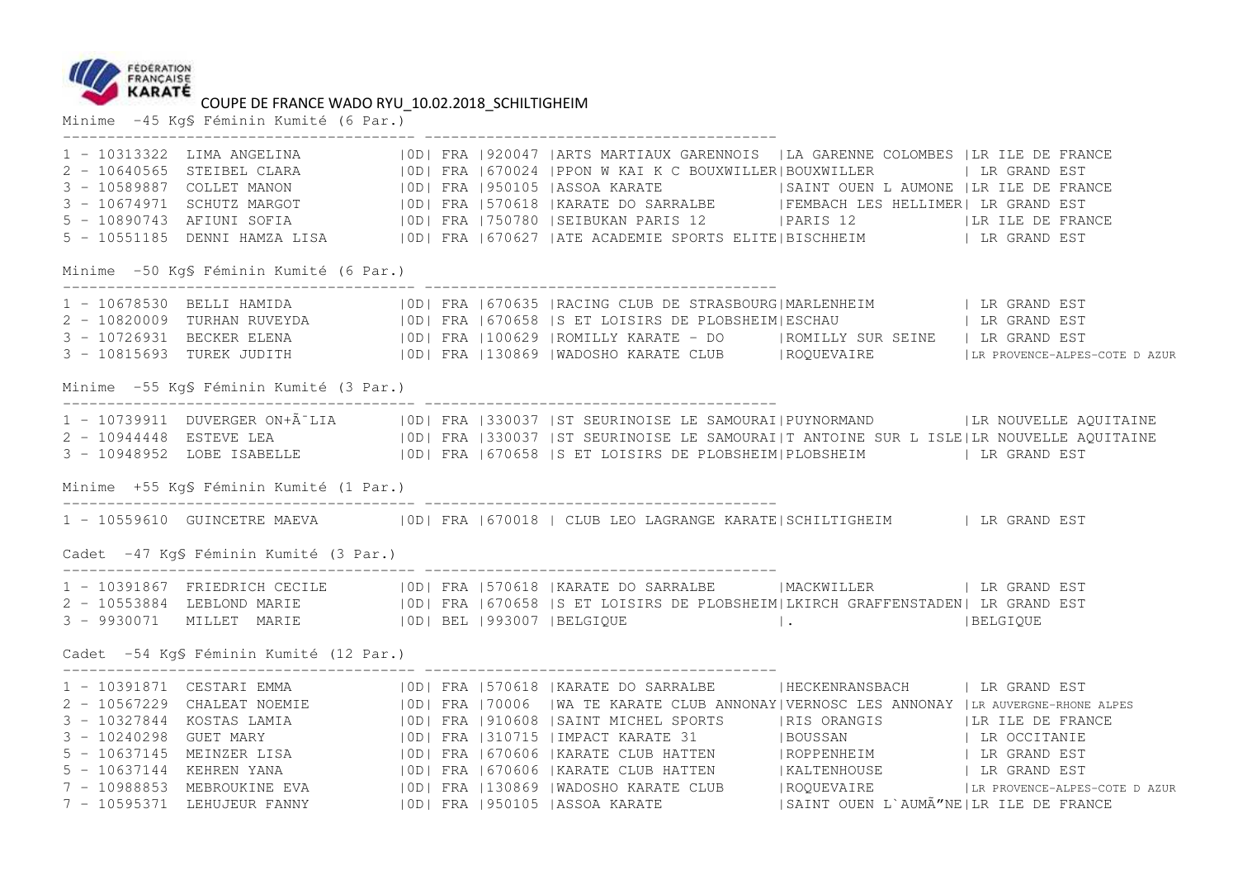

# COUPE DE FRANCE WADO RYU\_10.02.2018\_SCHILTIGHEIM<br>Minime -45 Kg§ Féminin Kumité (6 Par.)

|                                         |  | 1 - 10313322 LIMA ANGELINA   0D  FRA   920047   ARTS MARTIAUX GARENNOIS   LA GARENNE COLOMBES   LR ILE DE FRANCE<br>2 - 10640565 STEIBEL CLARA (100) FRA 1670024 PPON W KAI K C BOUXWILLER BOUXWILLER (LARA 1950105 (ASSOL 2017) FRA 1950105 (ASSOL 2017) AND THE RESOLUT MANON (100) FRA 1950105 (ASSOL KARATE 19907WILLER 2017 THE RESOLUT SCHUT<br>5 - 10551185 DENNI HAMZA LISA   0D  FRA   670627   ATE ACADEMIE SPORTS ELITE   BISCHHEIM   LR GRAND EST   |  |
|-----------------------------------------|--|-----------------------------------------------------------------------------------------------------------------------------------------------------------------------------------------------------------------------------------------------------------------------------------------------------------------------------------------------------------------------------------------------------------------------------------------------------------------|--|
| Minime -50 KqS Féminin Kumité (6 Par.)  |  |                                                                                                                                                                                                                                                                                                                                                                                                                                                                 |  |
|                                         |  | 1 - 10678530 BELLI HAMIDA (IODI FRA 1670635  RACING CLUB DE STRASBOURG MARLENHEIM   IR GRAND EST<br>2 - 10820009 TURHAN RUVEYDA (IODI FRA 1670658  S ET LOISIRS DE PLOBSHEIM ESCHAU   IR GRAND EST<br>3 - 10726931 BECKER ELENA (OD) FRA 1100629 ROMILLY KARATE - DO (ROMILLY SUR SEINE ) LR GRAND EST<br>3 - 10815693 TUREK JUDITH   0D  FRA   130869   WADOSHO KARATE CLUB   ROQUEVAIRE   LR PROVENCE-ALPES-COTE DAZUR                                        |  |
| Minime -55 Kg§ Féminin Kumité (3 Par.)  |  |                                                                                                                                                                                                                                                                                                                                                                                                                                                                 |  |
|                                         |  | 1 - 10739911 DUVERGER ON+Ã LIA   OD  FRA   330037   ST SEURINOISE LE SAMOURAI   PUYNORMAND   LA NOUVELLE AQUITAINE<br>2 - 10944448 ESTEVE LEA (OD) FRA 1330037 IST SEURINOISE LE SAMOURAI T ANTOINE SUR L ISLE LA NOUVELLE AQUITAINE<br>3 - 10948952 LOBE ISABELLE   0D  FRA   670658   S ET LOISIRS DE PLOBSHEIM  PLOBSHEIM   LR GRAND EST                                                                                                                     |  |
| Minime +55 Kg\$ Féminin Kumité (1 Par.) |  |                                                                                                                                                                                                                                                                                                                                                                                                                                                                 |  |
|                                         |  | 1 - 10559610 GUINCETRE MAEVA   OD  FRA   670018   CLUB LEO LAGRANGE KARATE  SCHILTIGHEIM   LR GRAND EST                                                                                                                                                                                                                                                                                                                                                         |  |
| Cadet -47 KgS Féminin Kumité (3 Par.)   |  |                                                                                                                                                                                                                                                                                                                                                                                                                                                                 |  |
|                                         |  | 1 - 10391867 FRIEDRICH CECILE   0D  FRA   570618   KARATE DO SARRALBE   MACKWILLER   LR GRAND EST<br>2 - 10553884 LEBLOND MARIE   0D  FRA   670658   S ET LOISIRS DE PLOBSHEIM  LKIRCH GRAFFENSTADEN  LR GRAND EST                                                                                                                                                                                                                                              |  |
| Cadet -54 KgS Féminin Kumité (12 Par.)  |  |                                                                                                                                                                                                                                                                                                                                                                                                                                                                 |  |
|                                         |  | 1 - 10391871 CESTARI EMMA   0D   FRA   570618   KARATE DO SARRALBE   HECKENRANSBACH   LR GRAND EST<br>2 - 10567229 CHALEAT NOEMIE   0D  FRA   70006   WA TE KARATE CLUB ANNONAY  VERNOSC LES ANNONAY   LR AUVERGNE-RHONE ALPES<br>3 – 10327844 KOSTAS LAMIA (1991) PRA 1910608 SAINT MICHEL SPORTS (RIS ORANGIS (LR ILE DE FRANCE 3 – 10240298 GUET MARY (1991) PRA 1310715   IMPACT KARATE 31 (BOUSSAN   LR ILE DE FRANCE 3 – 10637145 MEINZER LISA (1991) FRA |  |
|                                         |  | 7 - 10988853 MEBROUKINE EVA   OD  FRA   130869   WADOSHO KARATE CLUB   ROQUEVAIRE   LR PROVENCE-ALPES-COTE DAZUR                                                                                                                                                                                                                                                                                                                                                |  |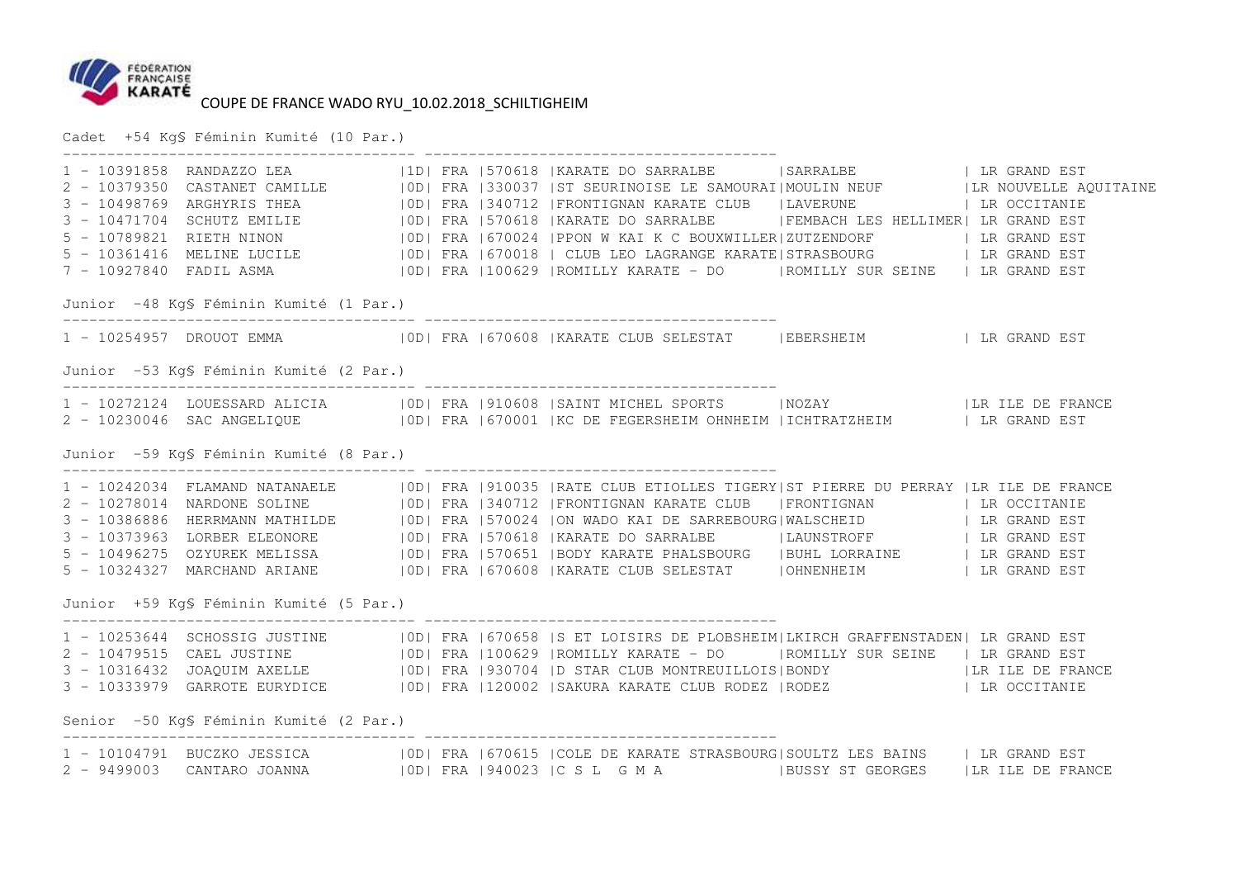

Cadet +54 Kg§ Féminin Kumité (10 Par.)

 ---------------------------------------- ---------------------------------------- 1 - 10391858 RANDAZZO LEA |1D| FRA |570618 |KARATE DO SARRALBE |SARRALBE | LR GRAND EST 2 - 10379350 CASTANET CAMILLE |0D| FRA |330037 |ST SEURINOISE LE SAMOURAI|MOULIN NEUF |LR NOUVELLE AQUITAINE 3 - 10498769 ARGHYRIS THEA |OD| FRA |340712 |FRONTIGNAN KARATE CLUB |LAVERUNE | LR OCCITANIE<br>3 - 10471704 SCHUTZ EMILIE |OD| FRA |570618 |KARATE DO SARRALBE |FEMBACH LES HELLIME 5 - 10789821 RIETH NINON |OD| FRA |670024 |PPON W KAI K C BOUXWILLER|ZUTZENDORF | LR GRAND EST<br>5 - 10361416 MELINE LUCILE |OD| FRA |670018 | CLUB LEO LAGRANGE KARATE|STRASBOURG Junior -48 Kg§ Féminin Kumité (1 Par.) ---------------------------------------- ---------------------------------------- 1 - 10254957 DROUOT EMMA |OD| FRA |670608 |KARATE CLUB SELESTAT |EBERSHEIM | LR GRAND EST Junior -53 Kg§ Féminin Kumité (2 Par.) ---------------------------------------- ---------------------------------------- 1 - 10272124 LOUESSARD ALICIA |0D| FRA |910608 |SAINT MICHEL SPORTS |NOZAY |LR ILE DE FRANCE 2 - 10230046 SAC ANGELIQUE |0D| FRA |670001 |KC DE FEGERSHEIM OHNHEIM |ICHTRATZHEIM | LR GRAND EST Junior -59 Kg§ Féminin Kumité (8 Par.) ---------------------------------------- ---------------------------------------- 1 - 10242034 FLAMAND NATANAELE |0D| FRA |910035 |RATE CLUB ETIOLLES TIGERY|ST PIERRE DU PERRAY |LR ILE DE FRANCE 2 - 10278014 NARDONE SOLINE |OD| FRA |340712 |FRONTIGNAN KARATE CLUB |FRONTIGNAN | LR OCCITANIE<br>3 - 10386886 HERRMANN MATHILDE |OD| FRA |570024 |ON WADO KAI DE SARREBOURG|WALSCHEID 3 - 10373963 LORBER ELEONORE |OD| FRA |570618 |KARATE DO SARRALBE |LAUNSTROFF | LR GRAND EST<br>5 - 10496275 OZYUREK MELISSA |OD| FRA |570651 |BODY KARATE PHALSBOURG |BUHL LORRAINE | 5 - 10324327 MARCHAND ARIANE |OD| FRA |670608 |KARATE CLUB SELESTAT |OHNENHEIM | LR GRAND EST Junior +59 Kg§ Féminin Kumité (5 Par.) ---------------------------------------- ---------------------------------------- 1 - 10253644 SCHOSSIG JUSTINE |0D| FRA |670658 |S ET LOISIRS DE PLOBSHEIM|LKIRCH GRAFFENSTADEN| LR GRAND EST 2 - 10479515 CAEL JUSTINE |0D| FRA |100629 |ROMILLY KARATE - DO |ROMILLY SUR SEINE | LR GRAND EST 3 - 10316432 JOAQUIM AXELLE |OD| FRA |930704 |D STAR CLUB MONTREUILLOIS|BONDY |LR ILE DE FRANCE<br>3 - 10333979 GARROTE EURYDICE |OD| FRA |120002 |SAKURA KARATE CLUB RODEZ |RODEZ Senior -50 Kg§ Féminin Kumité (2 Par.) ---------------------------------------- ---------------------------------------- 1 - 10104791 BUCZKO JESSICA |0D| FRA |670615 |COLE DE KARATE STRASBOURG|SOULTZ LES BAINS | LR GRAND EST 2 - 9499003 CANTARO JOANNA |0D| FRA |940023 |C S L G M A |BUSSY ST GEORGES |LR ILE DE FRANCE